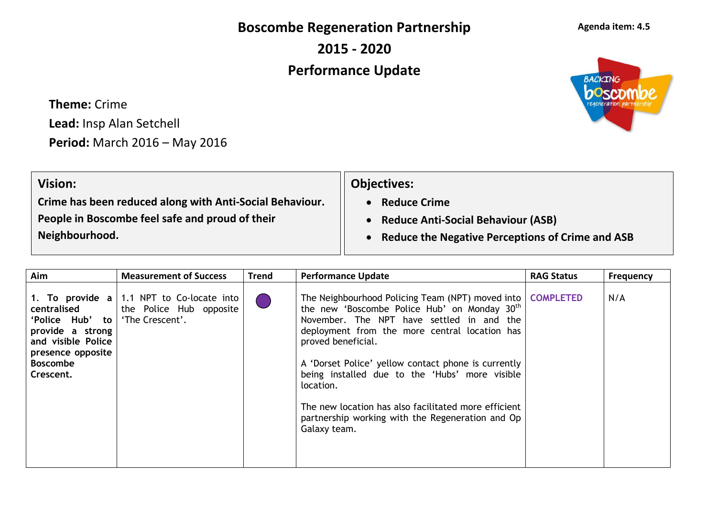**Boscombe Regeneration Partnership**

**2015 - 2020**

## **Performance Update**

**Theme:** Crime **Lead:** Insp Alan Setchell **Period:** March 2016 – May 2016

| <b>Objectives:</b>                                 |
|----------------------------------------------------|
| <b>Reduce Crime</b>                                |
| <b>Reduce Anti-Social Behaviour (ASB)</b>          |
| • Reduce the Negative Perceptions of Crime and ASB |
|                                                    |

| Aim                                                                                                                           | <b>Measurement of Success</b>                                                                  | <b>Trend</b> | <b>Performance Update</b>                                                                                                                                                                                                                                                                                                                                                                                                                                                                      | <b>RAG Status</b> | <b>Frequency</b> |
|-------------------------------------------------------------------------------------------------------------------------------|------------------------------------------------------------------------------------------------|--------------|------------------------------------------------------------------------------------------------------------------------------------------------------------------------------------------------------------------------------------------------------------------------------------------------------------------------------------------------------------------------------------------------------------------------------------------------------------------------------------------------|-------------------|------------------|
| centralised<br>'Police Hub' to<br>provide a strong<br>and visible Police<br>presence opposite<br><b>Boscombe</b><br>Crescent. | 1. To provide $a \mid 1.1$ NPT to Co-locate into<br>the Police Hub opposite<br>'The Crescent'. |              | The Neighbourhood Policing Team (NPT) moved into   COMPLETED<br>the new 'Boscombe Police Hub' on Monday 30 <sup>th</sup><br>November. The NPT have settled in and the<br>deployment from the more central location has<br>proved beneficial.<br>A 'Dorset Police' yellow contact phone is currently<br>being installed due to the 'Hubs' more visible<br>location.<br>The new location has also facilitated more efficient<br>partnership working with the Regeneration and Op<br>Galaxy team. |                   | N/A              |



**Agenda item: 4.5**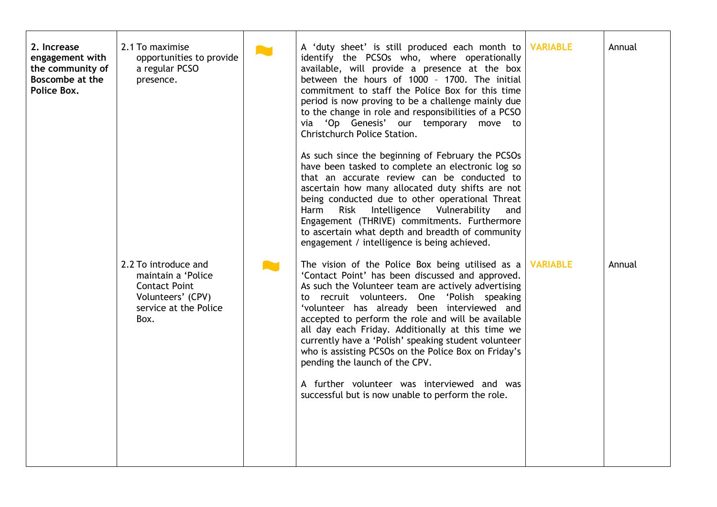| 2. Increase<br>engagement with<br>the community of<br><b>Boscombe at the</b><br>Police Box. | 2.1 To maximise<br>opportunities to provide<br>a regular PCSO<br>presence.<br>2.2 To introduce and<br>maintain a 'Police<br><b>Contact Point</b><br>Volunteers' (CPV)<br>service at the Police<br>Box. | A. | A 'duty sheet' is still produced each month to<br>identify the PCSOs who, where operationally<br>available, will provide a presence at the box<br>between the hours of 1000 - 1700. The initial<br>commitment to staff the Police Box for this time<br>period is now proving to be a challenge mainly due<br>to the change in role and responsibilities of a PCSO<br>via 'Op Genesis' our temporary move to<br><b>Christchurch Police Station.</b><br>As such since the beginning of February the PCSOs<br>have been tasked to complete an electronic log so<br>that an accurate review can be conducted to<br>ascertain how many allocated duty shifts are not<br>being conducted due to other operational Threat<br>Intelligence Vulnerability<br>Harm<br>Risk<br>and<br>Engagement (THRIVE) commitments. Furthermore<br>to ascertain what depth and breadth of community<br>engagement / intelligence is being achieved.<br>The vision of the Police Box being utilised as a<br>'Contact Point' has been discussed and approved.<br>As such the Volunteer team are actively advertising<br>to recruit volunteers. One 'Polish speaking<br>'volunteer has already been interviewed and<br>accepted to perform the role and will be available<br>all day each Friday. Additionally at this time we<br>currently have a 'Polish' speaking student volunteer<br>who is assisting PCSOs on the Police Box on Friday's<br>pending the launch of the CPV.<br>A further volunteer was interviewed and was<br>successful but is now unable to perform the role. | <b>VARIABLE</b><br><b>VARIABLE</b> | Annual<br>Annual |
|---------------------------------------------------------------------------------------------|--------------------------------------------------------------------------------------------------------------------------------------------------------------------------------------------------------|----|-----------------------------------------------------------------------------------------------------------------------------------------------------------------------------------------------------------------------------------------------------------------------------------------------------------------------------------------------------------------------------------------------------------------------------------------------------------------------------------------------------------------------------------------------------------------------------------------------------------------------------------------------------------------------------------------------------------------------------------------------------------------------------------------------------------------------------------------------------------------------------------------------------------------------------------------------------------------------------------------------------------------------------------------------------------------------------------------------------------------------------------------------------------------------------------------------------------------------------------------------------------------------------------------------------------------------------------------------------------------------------------------------------------------------------------------------------------------------------------------------------------------------------------------------------------|------------------------------------|------------------|
|---------------------------------------------------------------------------------------------|--------------------------------------------------------------------------------------------------------------------------------------------------------------------------------------------------------|----|-----------------------------------------------------------------------------------------------------------------------------------------------------------------------------------------------------------------------------------------------------------------------------------------------------------------------------------------------------------------------------------------------------------------------------------------------------------------------------------------------------------------------------------------------------------------------------------------------------------------------------------------------------------------------------------------------------------------------------------------------------------------------------------------------------------------------------------------------------------------------------------------------------------------------------------------------------------------------------------------------------------------------------------------------------------------------------------------------------------------------------------------------------------------------------------------------------------------------------------------------------------------------------------------------------------------------------------------------------------------------------------------------------------------------------------------------------------------------------------------------------------------------------------------------------------|------------------------------------|------------------|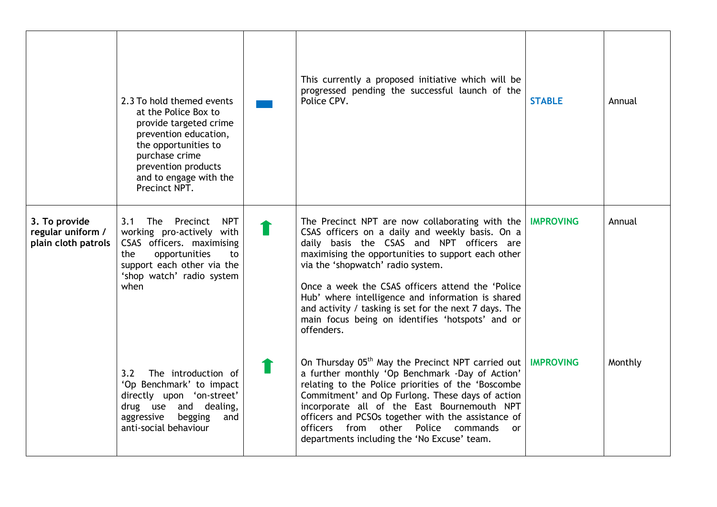|                                                           | 2.3 To hold themed events<br>at the Police Box to<br>provide targeted crime<br>prevention education,<br>the opportunities to<br>purchase crime<br>prevention products<br>and to engage with the<br>Precinct NPT. | This currently a proposed initiative which will be<br>progressed pending the successful launch of the<br>Police CPV.                                                                                                                                                                                                                                                                                                                                                                | <b>STABLE</b>    | Annual  |
|-----------------------------------------------------------|------------------------------------------------------------------------------------------------------------------------------------------------------------------------------------------------------------------|-------------------------------------------------------------------------------------------------------------------------------------------------------------------------------------------------------------------------------------------------------------------------------------------------------------------------------------------------------------------------------------------------------------------------------------------------------------------------------------|------------------|---------|
| 3. To provide<br>regular uniform /<br>plain cloth patrols | Precinct<br><b>NPT</b><br>3.1<br><b>The</b><br>working pro-actively with<br>CSAS officers. maximising<br>opportunities<br>the<br>to<br>support each other via the<br>'shop watch' radio system<br>when           | The Precinct NPT are now collaborating with the $ $<br>CSAS officers on a daily and weekly basis. On a<br>daily basis the CSAS and NPT officers are<br>maximising the opportunities to support each other<br>via the 'shopwatch' radio system.<br>Once a week the CSAS officers attend the 'Police<br>Hub' where intelligence and information is shared<br>and activity / tasking is set for the next 7 days. The<br>main focus being on identifies 'hotspots' and or<br>offenders. | <b>IMPROVING</b> | Annual  |
|                                                           | The introduction of<br>3.2<br>'Op Benchmark' to impact<br>directly upon 'on-street'<br>drug use and dealing,<br>begging<br>aggressive<br>and<br>anti-social behaviour                                            | On Thursday 05 <sup>th</sup> May the Precinct NPT carried out<br>a further monthly 'Op Benchmark -Day of Action'<br>relating to the Police priorities of the 'Boscombe<br>Commitment' and Op Furlong. These days of action<br>incorporate all of the East Bournemouth NPT<br>officers and PCSOs together with the assistance of<br>officers from other<br>Police commands<br><sub>or</sub><br>departments including the 'No Excuse' team.                                           | <b>IMPROVING</b> | Monthly |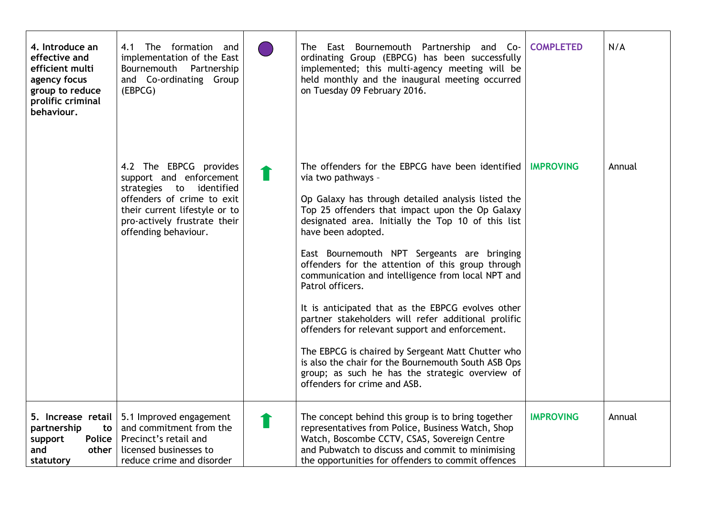| 4. Introduce an<br>effective and<br>efficient multi<br>agency focus<br>group to reduce<br>prolific criminal<br>behaviour. | The formation and<br>4.1<br>implementation of the East<br>Bournemouth Partnership<br>and Co-ordinating Group<br>(EBPCG)                                                                              | The East Bournemouth Partnership and Co-<br>ordinating Group (EBPCG) has been successfully<br>implemented; this multi-agency meeting will be<br>held monthly and the inaugural meeting occurred<br>on Tuesday 09 February 2016.                                                                                                                                                                                                                                                                                                                                                                                                                                                                                                                                                                        | <b>COMPLETED</b> | N/A    |
|---------------------------------------------------------------------------------------------------------------------------|------------------------------------------------------------------------------------------------------------------------------------------------------------------------------------------------------|--------------------------------------------------------------------------------------------------------------------------------------------------------------------------------------------------------------------------------------------------------------------------------------------------------------------------------------------------------------------------------------------------------------------------------------------------------------------------------------------------------------------------------------------------------------------------------------------------------------------------------------------------------------------------------------------------------------------------------------------------------------------------------------------------------|------------------|--------|
|                                                                                                                           | 4.2 The EBPCG provides<br>support and enforcement<br>strategies to identified<br>offenders of crime to exit<br>their current lifestyle or to<br>pro-actively frustrate their<br>offending behaviour. | The offenders for the EBPCG have been identified<br>via two pathways -<br>Op Galaxy has through detailed analysis listed the<br>Top 25 offenders that impact upon the Op Galaxy<br>designated area. Initially the Top 10 of this list<br>have been adopted.<br>East Bournemouth NPT Sergeants are bringing<br>offenders for the attention of this group through<br>communication and intelligence from local NPT and<br>Patrol officers.<br>It is anticipated that as the EBPCG evolves other<br>partner stakeholders will refer additional prolific<br>offenders for relevant support and enforcement.<br>The EBPCG is chaired by Sergeant Matt Chutter who<br>is also the chair for the Bournemouth South ASB Ops<br>group; as such he has the strategic overview of<br>offenders for crime and ASB. | <b>IMPROVING</b> | Annual |
| partnership<br>to<br>Police<br>support<br>other<br>and<br>statutory                                                       | 5. Increase retail   5.1 Improved engagement<br>and commitment from the<br>Precinct's retail and<br>licensed businesses to<br>reduce crime and disorder                                              | The concept behind this group is to bring together<br>representatives from Police, Business Watch, Shop<br>Watch, Boscombe CCTV, CSAS, Sovereign Centre<br>and Pubwatch to discuss and commit to minimising<br>the opportunities for offenders to commit offences                                                                                                                                                                                                                                                                                                                                                                                                                                                                                                                                      | <b>IMPROVING</b> | Annual |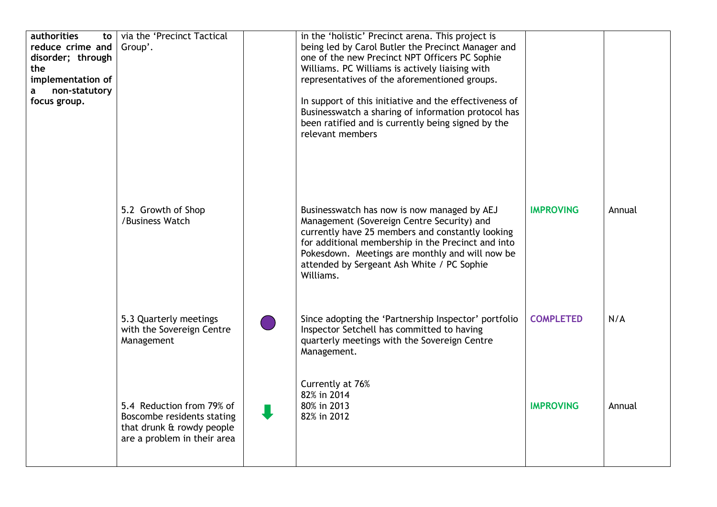| authorities<br>to<br>reduce crime and<br>disorder; through<br>the<br>implementation of<br>non-statutory<br>a<br>focus group. | via the 'Precinct Tactical<br>Group'.                                                                               | in the 'holistic' Precinct arena. This project is<br>being led by Carol Butler the Precinct Manager and<br>one of the new Precinct NPT Officers PC Sophie<br>Williams. PC Williams is actively liaising with<br>representatives of the aforementioned groups.<br>In support of this initiative and the effectiveness of<br>Businesswatch a sharing of information protocol has<br>been ratified and is currently being signed by the<br>relevant members |                  |        |
|------------------------------------------------------------------------------------------------------------------------------|---------------------------------------------------------------------------------------------------------------------|----------------------------------------------------------------------------------------------------------------------------------------------------------------------------------------------------------------------------------------------------------------------------------------------------------------------------------------------------------------------------------------------------------------------------------------------------------|------------------|--------|
|                                                                                                                              | 5.2 Growth of Shop<br>/Business Watch                                                                               | Businesswatch has now is now managed by AEJ<br>Management (Sovereign Centre Security) and<br>currently have 25 members and constantly looking<br>for additional membership in the Precinct and into<br>Pokesdown. Meetings are monthly and will now be<br>attended by Sergeant Ash White / PC Sophie<br>Williams.                                                                                                                                        | <b>IMPROVING</b> | Annual |
|                                                                                                                              | 5.3 Quarterly meetings<br>with the Sovereign Centre<br>Management                                                   | Since adopting the 'Partnership Inspector' portfolio<br>Inspector Setchell has committed to having<br>quarterly meetings with the Sovereign Centre<br>Management.                                                                                                                                                                                                                                                                                        | <b>COMPLETED</b> | N/A    |
|                                                                                                                              | 5.4 Reduction from 79% of<br>Boscombe residents stating<br>that drunk & rowdy people<br>are a problem in their area | Currently at 76%<br>82% in 2014<br>80% in 2013<br>82% in 2012                                                                                                                                                                                                                                                                                                                                                                                            | <b>IMPROVING</b> | Annual |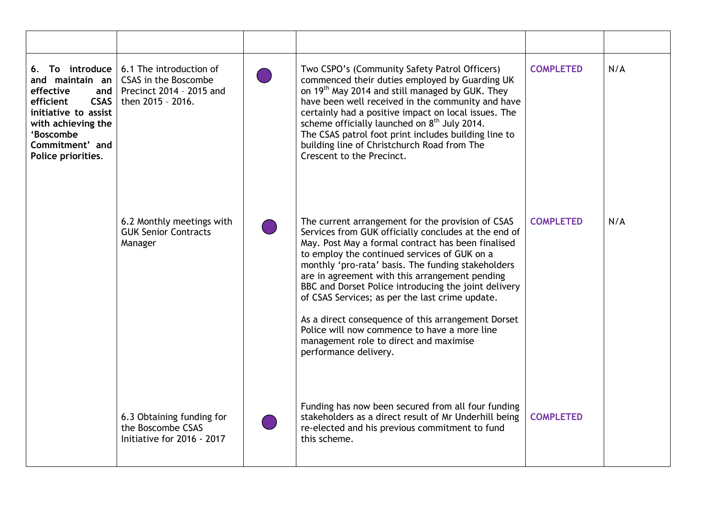| 6. To introduce<br>and maintain an<br>effective<br>and<br><b>CSAS</b><br>efficient<br>initiative to assist<br>with achieving the<br>'Boscombe<br>Commitment' and<br>Police priorities. | 6.1 The introduction of<br>CSAS in the Boscombe<br>Precinct 2014 - 2015 and<br>then 2015 - 2016. | Two CSPO's (Community Safety Patrol Officers)<br>commenced their duties employed by Guarding UK<br>on 19 <sup>th</sup> May 2014 and still managed by GUK. They<br>have been well received in the community and have<br>certainly had a positive impact on local issues. The<br>scheme officially launched on 8 <sup>th</sup> July 2014.<br>The CSAS patrol foot print includes building line to<br>building line of Christchurch Road from The<br>Crescent to the Precinct.                                                                                                                                 | <b>COMPLETED</b> | N/A |
|----------------------------------------------------------------------------------------------------------------------------------------------------------------------------------------|--------------------------------------------------------------------------------------------------|-------------------------------------------------------------------------------------------------------------------------------------------------------------------------------------------------------------------------------------------------------------------------------------------------------------------------------------------------------------------------------------------------------------------------------------------------------------------------------------------------------------------------------------------------------------------------------------------------------------|------------------|-----|
|                                                                                                                                                                                        | 6.2 Monthly meetings with<br><b>GUK Senior Contracts</b><br>Manager                              | The current arrangement for the provision of CSAS<br>Services from GUK officially concludes at the end of<br>May. Post May a formal contract has been finalised<br>to employ the continued services of GUK on a<br>monthly 'pro-rata' basis. The funding stakeholders<br>are in agreement with this arrangement pending<br>BBC and Dorset Police introducing the joint delivery<br>of CSAS Services; as per the last crime update.<br>As a direct consequence of this arrangement Dorset<br>Police will now commence to have a more line<br>management role to direct and maximise<br>performance delivery. | <b>COMPLETED</b> | N/A |
|                                                                                                                                                                                        | 6.3 Obtaining funding for<br>the Boscombe CSAS<br>Initiative for 2016 - 2017                     | Funding has now been secured from all four funding<br>stakeholders as a direct result of Mr Underhill being<br>re-elected and his previous commitment to fund<br>this scheme.                                                                                                                                                                                                                                                                                                                                                                                                                               | <b>COMPLETED</b> |     |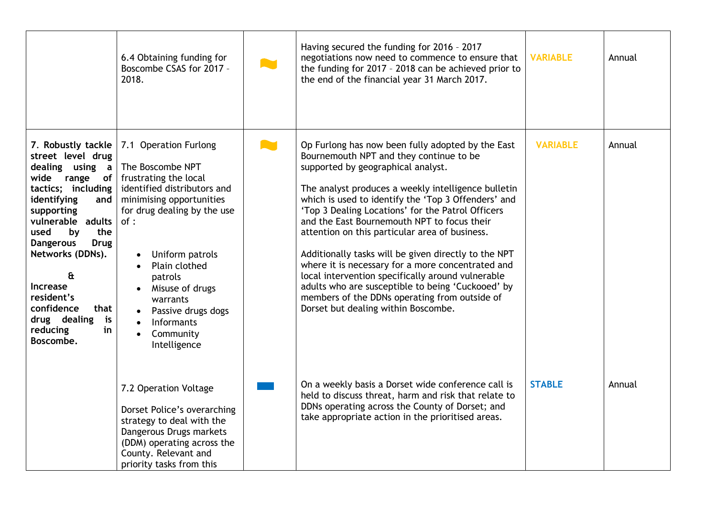|                                                                                                                                                                                                                                                                                                                                                                   | 6.4 Obtaining funding for<br>Boscombe CSAS for 2017 -<br>2018.                                                                                                                                                                                                                                                                   | Having secured the funding for 2016 - 2017<br>negotiations now need to commence to ensure that<br>the funding for 2017 - 2018 can be achieved prior to<br>the end of the financial year 31 March 2017.                                                                                                                                                                                                                                                                                                                                                                                                                                                                                                                | <b>VARIABLE</b> | Annual |
|-------------------------------------------------------------------------------------------------------------------------------------------------------------------------------------------------------------------------------------------------------------------------------------------------------------------------------------------------------------------|----------------------------------------------------------------------------------------------------------------------------------------------------------------------------------------------------------------------------------------------------------------------------------------------------------------------------------|-----------------------------------------------------------------------------------------------------------------------------------------------------------------------------------------------------------------------------------------------------------------------------------------------------------------------------------------------------------------------------------------------------------------------------------------------------------------------------------------------------------------------------------------------------------------------------------------------------------------------------------------------------------------------------------------------------------------------|-----------------|--------|
| 7. Robustly tackle<br>street level drug<br>dealing using a<br>range<br>wide<br>tactics; including<br>identifying<br>and<br>supporting<br>vulnerable adults<br>used<br>by<br>the<br><b>Dangerous</b><br><b>Drug</b><br>Networks (DDNs).<br>$\mathbf{\hat{a}}$<br>Increase<br>resident's<br>confidence<br>that<br>drug dealing<br>is<br>reducing<br>in<br>Boscombe. | 7.1 Operation Furlong<br>The Boscombe NPT<br>of   frustrating the local<br>identified distributors and<br>minimising opportunities<br>for drug dealing by the use<br>of:<br>Uniform patrols<br>Plain clothed<br>patrols<br>• Misuse of drugs<br>warrants<br>Passive drugs dogs<br><b>Informants</b><br>Community<br>Intelligence | Op Furlong has now been fully adopted by the East<br>Bournemouth NPT and they continue to be<br>supported by geographical analyst.<br>The analyst produces a weekly intelligence bulletin<br>which is used to identify the 'Top 3 Offenders' and<br>'Top 3 Dealing Locations' for the Patrol Officers<br>and the East Bournemouth NPT to focus their<br>attention on this particular area of business.<br>Additionally tasks will be given directly to the NPT<br>where it is necessary for a more concentrated and<br>local intervention specifically around vulnerable<br>adults who are susceptible to being 'Cuckooed' by<br>members of the DDNs operating from outside of<br>Dorset but dealing within Boscombe. | <b>VARIABLE</b> | Annual |
|                                                                                                                                                                                                                                                                                                                                                                   | 7.2 Operation Voltage<br>Dorset Police's overarching<br>strategy to deal with the<br>Dangerous Drugs markets<br>(DDM) operating across the<br>County. Relevant and<br>priority tasks from this                                                                                                                                   | On a weekly basis a Dorset wide conference call is<br>held to discuss threat, harm and risk that relate to<br>DDNs operating across the County of Dorset; and<br>take appropriate action in the prioritised areas.                                                                                                                                                                                                                                                                                                                                                                                                                                                                                                    | <b>STABLE</b>   | Annual |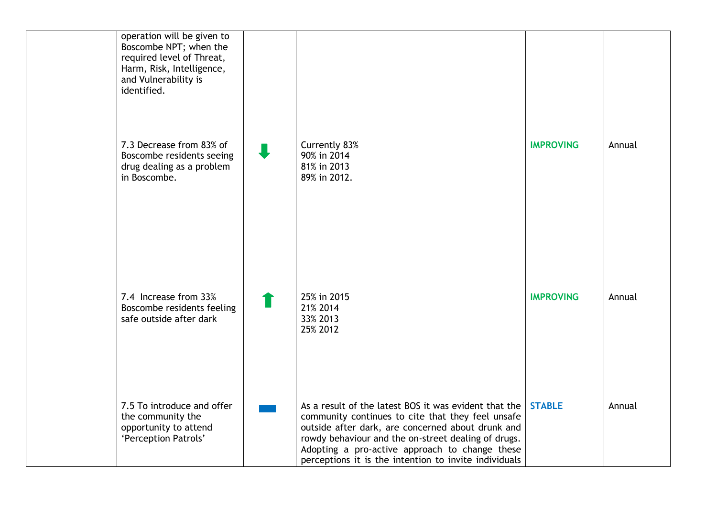| operation will be given to<br>Boscombe NPT; when the<br>required level of Threat,<br>Harm, Risk, Intelligence,<br>and Vulnerability is<br>identified. |                                                                                                                                                                                                                                                                                                                                   |                  |        |
|-------------------------------------------------------------------------------------------------------------------------------------------------------|-----------------------------------------------------------------------------------------------------------------------------------------------------------------------------------------------------------------------------------------------------------------------------------------------------------------------------------|------------------|--------|
| 7.3 Decrease from 83% of<br>Boscombe residents seeing<br>drug dealing as a problem<br>in Boscombe.                                                    | Currently 83%<br>90% in 2014<br>81% in 2013<br>89% in 2012.                                                                                                                                                                                                                                                                       | <b>IMPROVING</b> | Annual |
| 7.4 Increase from 33%<br>Boscombe residents feeling<br>safe outside after dark                                                                        | 25% in 2015<br>21% 2014<br>33% 2013<br>25% 2012                                                                                                                                                                                                                                                                                   | <b>IMPROVING</b> | Annual |
| 7.5 To introduce and offer<br>the community the<br>opportunity to attend<br>'Perception Patrols'                                                      | As a result of the latest BOS it was evident that the<br>community continues to cite that they feel unsafe<br>outside after dark, are concerned about drunk and<br>rowdy behaviour and the on-street dealing of drugs.<br>Adopting a pro-active approach to change these<br>perceptions it is the intention to invite individuals | <b>STABLE</b>    | Annual |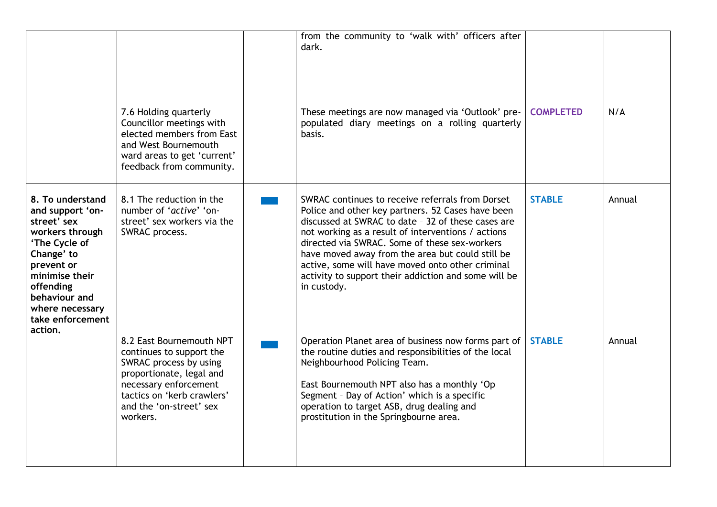|                                                                                                                                                                                                            | 7.6 Holding quarterly<br>Councillor meetings with<br>elected members from East<br>and West Bournemouth<br>ward areas to get 'current'<br>feedback from community.                                        | from the community to 'walk with' officers after<br>dark.<br>These meetings are now managed via 'Outlook' pre-<br>populated diary meetings on a rolling quarterly<br>basis.                                                                                                                                                                                                                                                                       | <b>COMPLETED</b> | N/A    |
|------------------------------------------------------------------------------------------------------------------------------------------------------------------------------------------------------------|----------------------------------------------------------------------------------------------------------------------------------------------------------------------------------------------------------|---------------------------------------------------------------------------------------------------------------------------------------------------------------------------------------------------------------------------------------------------------------------------------------------------------------------------------------------------------------------------------------------------------------------------------------------------|------------------|--------|
| 8. To understand<br>and support 'on-<br>street' sex<br>workers through<br>'The Cycle of<br>Change' to<br>prevent or<br>minimise their<br>offending<br>behaviour and<br>where necessary<br>take enforcement | 8.1 The reduction in the<br>number of 'active' 'on-<br>street' sex workers via the<br>SWRAC process.                                                                                                     | SWRAC continues to receive referrals from Dorset<br>Police and other key partners. 52 Cases have been<br>discussed at SWRAC to date - 32 of these cases are<br>not working as a result of interventions / actions<br>directed via SWRAC. Some of these sex-workers<br>have moved away from the area but could still be<br>active, some will have moved onto other criminal<br>activity to support their addiction and some will be<br>in custody. | <b>STABLE</b>    | Annual |
| action.                                                                                                                                                                                                    | 8.2 East Bournemouth NPT<br>continues to support the<br>SWRAC process by using<br>proportionate, legal and<br>necessary enforcement<br>tactics on 'kerb crawlers'<br>and the 'on-street' sex<br>workers. | Operation Planet area of business now forms part of<br>the routine duties and responsibilities of the local<br>Neighbourhood Policing Team.<br>East Bournemouth NPT also has a monthly 'Op<br>Segment - Day of Action' which is a specific<br>operation to target ASB, drug dealing and<br>prostitution in the Springbourne area.                                                                                                                 | <b>STABLE</b>    | Annual |